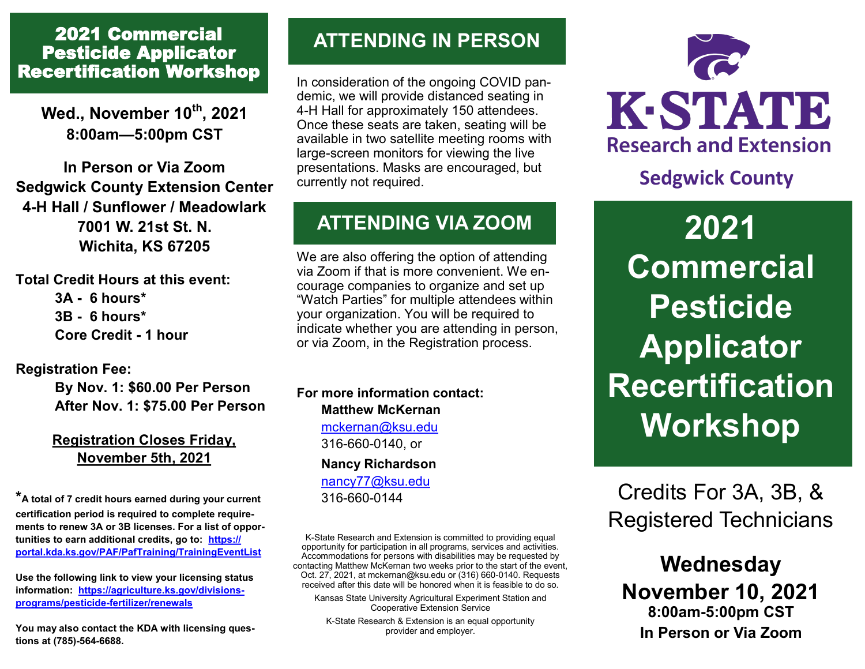## 2021 Commercial Pesticide Applicator Recertification Workshop

**Wed., November 10th, 2021 8:00am—5:00pm CST**

**In Person or Via Zoom Sedgwick County Extension Center 4-H Hall / Sunflower / Meadowlark 7001 W. 21st St. N. Wichita, KS 67205**

**Total Credit Hours at this event: 3A - 6 hours\* 3B - 6 hours\* Core Credit - 1 hour**

### **Registration Fee:**

**By Nov. 1: \$60.00 Per Person After Nov. 1: \$75.00 Per Person**

### **Registration Closes Friday, November 5th, 2021**

**\*A total of 7 credit hours earned during your current certification period is required to complete requirements to renew 3A or 3B licenses. For a list of opportunities to earn additional credits, go to: [https://](https://portal.kda.ks.gov/PAF/PafTraining/TrainingEventList) [portal.kda.ks.gov/PAF/PafTraining/TrainingEventList](https://portal.kda.ks.gov/PAF/PafTraining/TrainingEventList)**

**Use the following link to view your licensing status information: [https://agriculture.ks.gov/divisions](https://agriculture.ks.gov/divisions-programs/pesticide-fertilizer/renewals)[programs/pesticide](https://agriculture.ks.gov/divisions-programs/pesticide-fertilizer/renewals)-fertilizer/renewals**

**You may also contact the KDA with licensing questions at (785)-564-6688.** 

## **ATTENDING IN PERSON**

In consideration of the ongoing COVID pandemic, we will provide distanced seating in 4-H Hall for approximately 150 attendees. Once these seats are taken, seating will be available in two satellite meeting rooms with large-screen monitors for viewing the live presentations. Masks are encouraged, but currently not required.

# **ATTENDING VIA ZOOM**

We are also offering the option of attending via Zoom if that is more convenient. We encourage companies to organize and set up "Watch Parties" for multiple attendees within your organization. You will be required to indicate whether you are attending in person, or via Zoom, in the Registration process.

**For more information contact: Matthew McKernan** [mckernan@ksu.edu](mailto:mckernan@ksu.edu) 316-660-0140, or **Nancy Richardson** [nancy77@ksu.edu](mailto:nancy77@ksu.edu) 316-660-0144

K-State Research and Extension is committed to providing equal opportunity for participation in all programs, services and activities. Accommodations for persons with disabilities may be requested by contacting Matthew McKernan two weeks prior to the start of the event, Oct. 27, 2021, at mckernan@ksu.edu or (316) 660-0140. Requests received after this date will be honored when it is feasible to do so.

Kansas State University Agricultural Experiment Station and Cooperative Extension Service

K-State Research & Extension is an equal opportunity provider and employer.



# **Sedgwick County**

**2021 Commercial Pesticide Applicator Recertification Workshop**

Credits For 3A, 3B, & Registered Technicians

## **Wednesday November 10, 2021 8:00am-5:00pm CST In Person or Via Zoom**